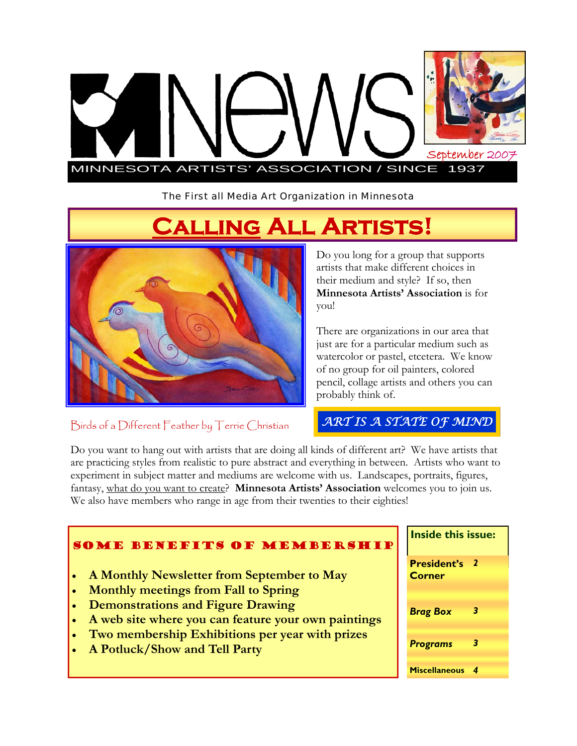

The First all Media Art Organization in Minnesota

# **Calling All Artists!**



Birds of a Different Feather by Terrie Christian

Do you long for a group that supports artists that make different choices in their medium and style? If so, then **Minnesota Artists' Association** is for you!

There are organizations in our area that just are for a particular medium such as watercolor or pastel, etcetera. We know of no group for oil painters, colored pencil, collage artists and others you can probably think of.

## *ART IS A STATE OF MIND*

Do you want to hang out with artists that are doing all kinds of different art? We have artists that are practicing styles from realistic to pure abstract and everything in between. Artists who want to experiment in subject matter and mediums are welcome with us. Landscapes, portraits, figures, fantasy, what do you want to create? **Minnesota Artists' Association** welcomes you to join us. We also have members who range in age from their twenties to their eighties!

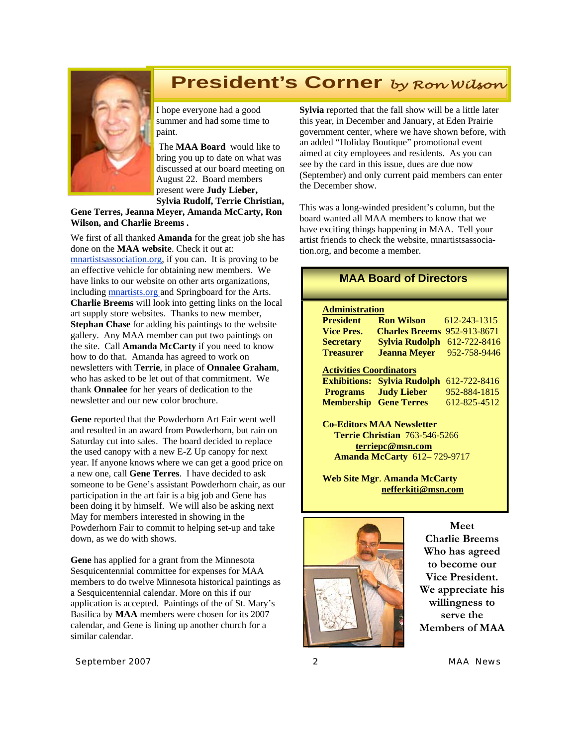# paint.

# **President's Corner** *by Ron Wilson*

I hope everyone had a good summer and had some time to

 The **MAA Board** would like to bring you up to date on what was discussed at our board meeting on August 22. Board members present were **Judy Lieber, Sylvia Rudolf, Terrie Christian,** 

**Gene Terres, Jeanna Meyer, Amanda McCarty, Ron Wilson, and Charlie Breems .** 

We first of all thanked **Amanda** for the great job she has done on the **MAA website**. Check it out at: mnartistsassociation.org, if you can. It is proving to be an effective vehicle for obtaining new members. We have links to our website on other arts organizations, including mnartists.org and Springboard for the Arts. **Charlie Breems** will look into getting links on the local art supply store websites. Thanks to new member, **Stephan Chase** for adding his paintings to the website gallery. Any MAA member can put two paintings on the site. Call **Amanda McCarty** if you need to know how to do that. Amanda has agreed to work on newsletters with **Terrie**, in place of **Onnalee Graham**, who has asked to be let out of that commitment. We thank **Onnalee** for her years of dedication to the newsletter and our new color brochure.

**Gene** reported that the Powderhorn Art Fair went well and resulted in an award from Powderhorn, but rain on Saturday cut into sales. The board decided to replace the used canopy with a new E-Z Up canopy for next year. If anyone knows where we can get a good price on a new one, call **Gene Terres**. I have decided to ask someone to be Gene's assistant Powderhorn chair, as our participation in the art fair is a big job and Gene has been doing it by himself. We will also be asking next May for members interested in showing in the Powderhorn Fair to commit to helping set-up and take down, as we do with shows.

**Gene** has applied for a grant from the Minnesota Sesquicentennial committee for expenses for MAA members to do twelve Minnesota historical paintings as a Sesquicentennial calendar. More on this if our application is accepted. Paintings of the of St. Mary's Basilica by **MAA** members were chosen for its 2007 calendar, and Gene is lining up another church for a similar calendar.

**Sylvia** reported that the fall show will be a little later this year, in December and January, at Eden Prairie government center, where we have shown before, with an added "Holiday Boutique" promotional event aimed at city employees and residents. As you can see by the card in this issue, dues are due now (September) and only current paid members can enter the December show.

This was a long-winded president's column, but the board wanted all MAA members to know that we have exciting things happening in MAA. Tell your artist friends to check the website, mnartistsassociation.org, and become a member.

#### **MAA Board of Directors**

#### **Administration**

| <b>President</b>               | <b>Ron Wilson</b>                  | 612-243-1315 |
|--------------------------------|------------------------------------|--------------|
| <b>Vice Pres.</b>              | <b>Charles Breems</b>              | 952-913-8671 |
| <b>Secretary</b>               | <b>Sylvia Rudolph</b>              | 612-722-8416 |
| <b>Treasurer</b>               | <b>Jeanna Meyer</b>                | 952-758-9446 |
| <b>Activities Coordinators</b> |                                    |              |
|                                | <b>Exhibitions: Sylvia Rudolph</b> | 612-722-8416 |
|                                |                                    |              |
|                                | <b>Programs</b> Judy Lieber        | 952-884-1815 |
| <b>Membership</b>              | <b>Gene Terres</b>                 | 612-825-4512 |

**Co-Editors MAA Newsletter Terrie Christian** 763-546-5266 **terriepc@msn.com Amanda McCarty** 612– 729-9717

**Web Site Mgr**. **Amanda McCarty nefferkiti@msn.com** 



**Meet Charlie Breems Who has agreed to become our Vice President. We appreciate his willingness to serve the Members of MAA** 

*September 2007 2 MAA News*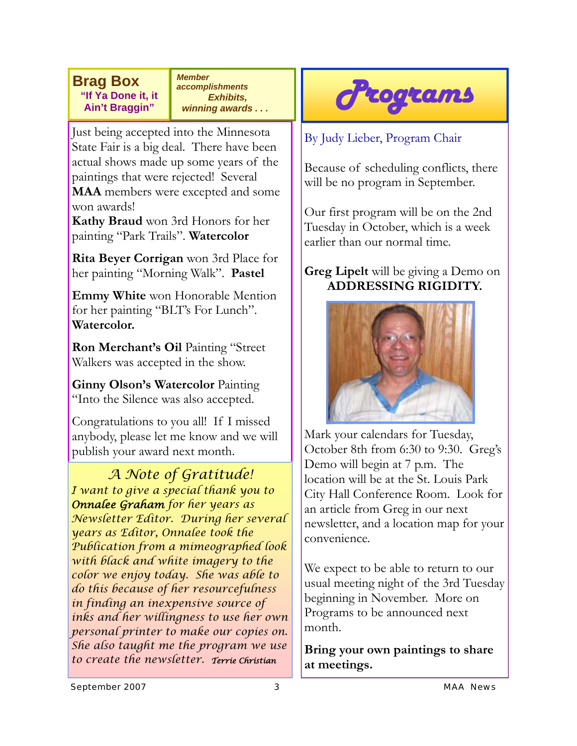**Brag Box "If Ya Done it, it Ain't Braggin"** 

*Member accomplishments Exhibits, winning awards . . .* 

Just being accepted into the Minnesota State Fair is a big deal. There have been actual shows made up some years of the paintings that were rejected! Several **MAA** members were excepted and some won awards!

**Kathy Braud** won 3rd Honors for her painting "Park Trails". **Watercolor** 

**Rita Beyer Corrigan** won 3rd Place for her painting "Morning Walk". **Pastel** 

**Emmy White** won Honorable Mention for her painting "BLT's For Lunch". **Watercolor.** 

**Ron Merchant's Oil** Painting "Street Walkers was accepted in the show.

**Ginny Olson's Watercolor** Painting "Into the Silence was also accepted.

Congratulations to you all! If I missed anybody, please let me know and we will publish your award next month.

*A Note of Gratitude! I want to give a special thank you to Onnalee Graham for her years as Newsletter Editor. During her several years as Editor, Onnalee took the Publication from a mimeographed look with black and white imagery to the color we enjoy today. She was able to do this because of her resourcefulness in finding an inexpensive source of inks and her willingness to use her own personal printer to make our copies on. She also taught me the program we use to create the newsletter. Terrie Christian*



By Judy Lieber, Program Chair

Because of scheduling conflicts, there will be no program in September.

Our first program will be on the 2nd Tuesday in October, which is a week earlier than our normal time.

### **Greg Lipelt** will be giving a Demo on **ADDRESSING RIGIDITY.**



Mark your calendars for Tuesday, October 8th from 6:30 to 9:30. Greg's Demo will begin at 7 p.m. The location will be at the St. Louis Park City Hall Conference Room. Look for an article from Greg in our next newsletter, and a location map for your convenience.

We expect to be able to return to our usual meeting night of the 3rd Tuesday beginning in November. More on Programs to be announced next month.

**Bring your own paintings to share at meetings.**